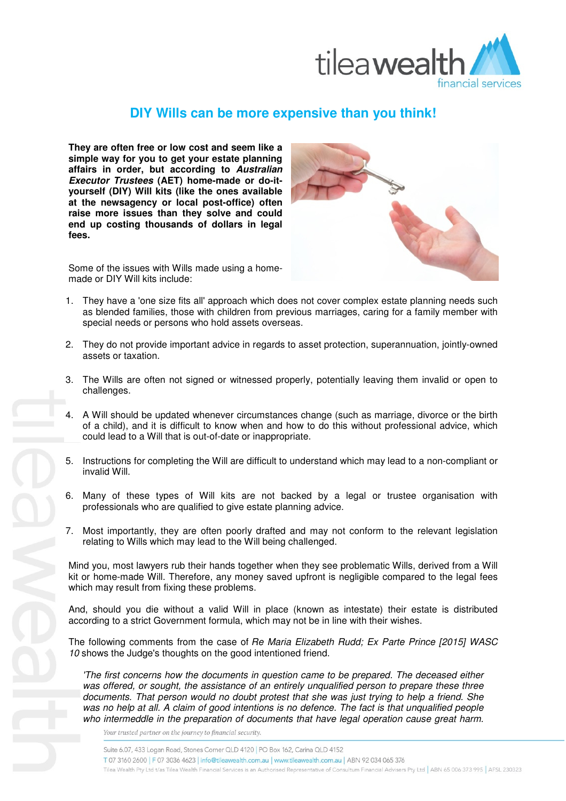

## **DIY Wills can be more expensive than you think!**

**They are often free or low cost and seem like a simple way for you to get your estate planning affairs in order, but according to Australian Executor Trustees (AET) home-made or do-ityourself (DIY) Will kits (like the ones available at the newsagency or local post-office) often raise more issues than they solve and could end up costing thousands of dollars in legal fees.**



Some of the issues with Wills made using a homemade or DIY Will kits include:

- 1. They have a 'one size fits all' approach which does not cover complex estate planning needs such as blended families, those with children from previous marriages, caring for a family member with special needs or persons who hold assets overseas.
- 2. They do not provide important advice in regards to asset protection, superannuation, jointly-owned assets or taxation.
- 3. The Wills are often not signed or witnessed properly, potentially leaving them invalid or open to challenges.
- 4. A Will should be updated whenever circumstances change (such as marriage, divorce or the birth of a child), and it is difficult to know when and how to do this without professional advice, which could lead to a Will that is out-of-date or inappropriate.
- 5. Instructions for completing the Will are difficult to understand which may lead to a non-compliant or invalid Will.
- 6. Many of these types of Will kits are not backed by a legal or trustee organisation with professionals who are qualified to give estate planning advice.
- 7. Most importantly, they are often poorly drafted and may not conform to the relevant legislation relating to Wills which may lead to the Will being challenged.

Mind you, most lawyers rub their hands together when they see problematic Wills, derived from a Will kit or home-made Will. Therefore, any money saved upfront is negligible compared to the legal fees which may result from fixing these problems.

And, should you die without a valid Will in place (known as intestate) their estate is distributed according to a strict Government formula, which may not be in line with their wishes.

The following comments from the case of Re Maria Elizabeth Rudd; Ex Parte Prince [2015] WASC 10 shows the Judge's thoughts on the good intentioned friend.

'The first concerns how the documents in question came to be prepared. The deceased either was offered, or sought, the assistance of an entirely unqualified person to prepare these three documents. That person would no doubt protest that she was just trying to help a friend. She was no help at all. A claim of good intentions is no defence. The fact is that unqualified people who intermeddle in the preparation of documents that have legal operation cause great harm.